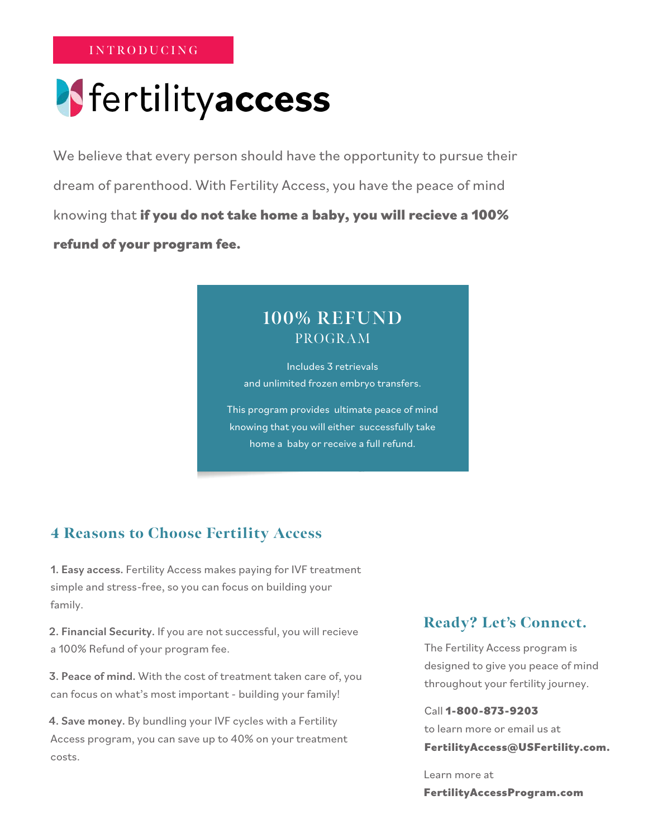**INTRODUCING**

# Fertilityaccess

We believe that every person should have the opportunity to pursue their dream of parenthood. With Fertility Access, you have the peace of mind knowing that **if you do not take home a baby, you will recieve a 100% refund of your program fee.**

# **100% REFUND** PROGRAM

Includes 3 retrievals and unlimited frozen embryo transfers.

This program provides ultimate peace of mind knowing that you will either successfully take home a baby or receive a full refund.

# 4 Reasons to Choose Fertility Access

1. Easy access. Fertility Access makes paying for IVF treatment simple and stress-free, so you can focus on building your family.

2. Financial Security. If you are not successful, you will recieve a 100% Refund of your program fee.

3. Peace of mind. With the cost of treatment taken care of, you can focus on what's most important - building your family!

4. Save money. By bundling your IVF cycles with a Fertility Access program, you can save up to 40% on your treatment costs.

# Ready? Let's Connect.

The Fertility Access program is designed to give you peace of mind throughout your fertility journey.

Call **1-800-873-9203** to learn more or email us at **FertilityAccess@USFertility.com.**

Learn more at **FertilityAccessProgram.com**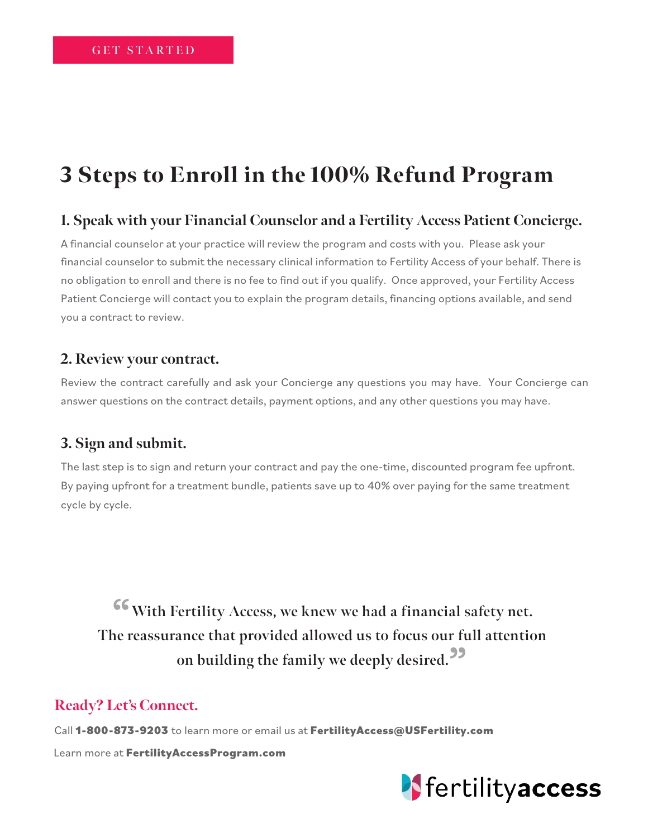# 3 Steps to Enroll in the 100% Refund Program

## **1. Speak with your Financial Counselor and a Fertility Access Patient Concierge.**

A financial counselor at your practice will review the program and costs with you. Please ask your financial counselor to submit the necessary clinical information to Fertility Access of your behalf. There is no obligation to enroll and there is no fee to find out if you qualify. Once approved, your Fertility Access Patient Concierge will contact you to explain the program details, financing options available, and send you a contract to review.

#### **2. Review your contract.**

Review the contract carefully and ask your Concierge any questions you may have. Your Concierge can answer questions on the contract details, payment options, and any other questions you may have.

## **3. Sign and submit.**

The last step is to sign and return your contract and pay the one-time, discounted program fee upfront. By paying upfront for a treatment bundle, patients save up to 40% over paying for the same treatment cycle by cycle.

**"With Fertility Access, we knew we had a financial safety net. The reassurance that provided allowed us to focus our full attention on building the family we deeply desired."**

## **Ready? Let's Connect.**

Call **1-800-873-9203** to learn more or email us at **FertilityAccess@USFertility.com**

Learn more at **FertilityAccessProgram.com**

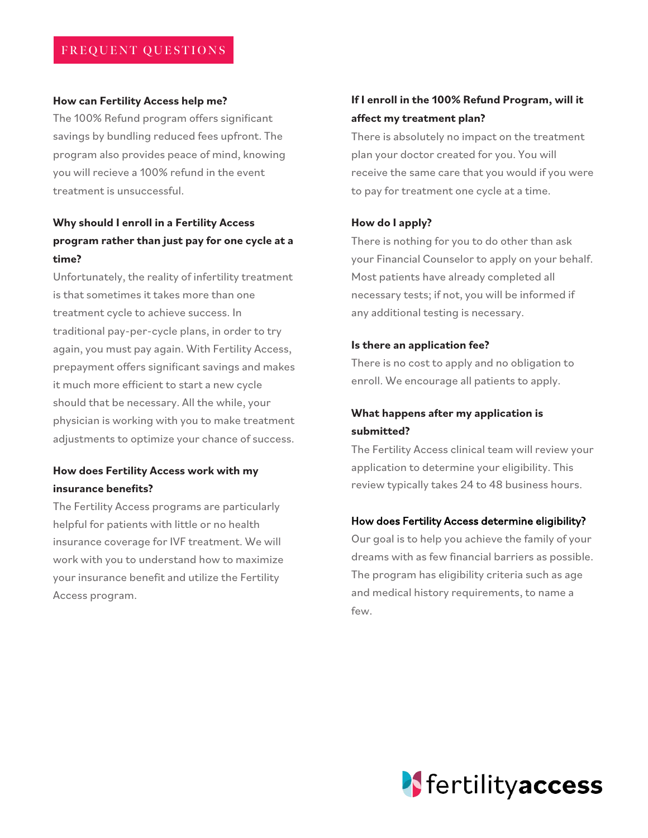#### **How can Fertility Access help me?**

The 100% Refund program offers significant savings by bundling reduced fees upfront. The program also provides peace of mind, knowing you will recieve a 100% refund in the event treatment is unsuccessful.

#### **Why should I enroll in a Fertility Access program rather than just pay for one cycle at a time?**

Unfortunately, the reality of infertility treatment is that sometimes it takes more than one treatment cycle to achieve success. In traditional pay-per-cycle plans, in order to try again, you must pay again. With Fertility Access, prepayment offers significant savings and makes it much more efficient to start a new cycle should that be necessary. All the while, your physician is working with you to make treatment adjustments to optimize your chance of success.

#### **How does Fertility Access work with my insurance benefits?**

The Fertility Access programs are particularly helpful for patients with little or no health insurance coverage for IVF treatment. We will work with you to understand how to maximize your insurance benefit and utilize the Fertility Access program.

#### **If I enroll in the 100% Refund Program, will it affect my treatment plan?**

There is absolutely no impact on the treatment plan your doctor created for you. You will receive the same care that you would if you were to pay for treatment one cycle at a time.

#### **How do I apply?**

There is nothing for you to do other than ask your Financial Counselor to apply on your behalf. Most patients have already completed all necessary tests; if not, you will be informed if any additional testing is necessary.

#### **Is there an application fee?**

There is no cost to apply and no obligation to enroll. We encourage all patients to apply.

#### **What happens after my application is submitted?**

The Fertility Access clinical team will review your application to determine your eligibility. This review typically takes 24 to 48 business hours.

#### How does Fertility Access determine eligibility?

Our goal is to help you achieve the family of your dreams with as few financial barriers as possible. The program has eligibility criteria such as age and medical history requirements, to name a few.